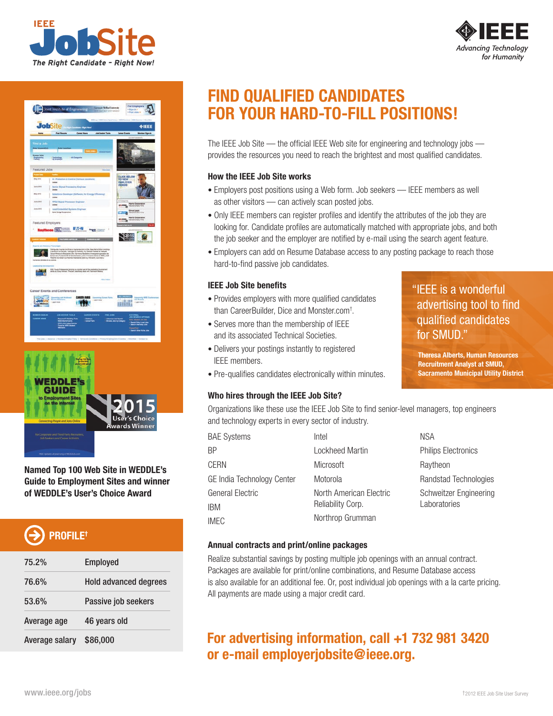







**Named Top 100 Web Site in WEDDLE's Guide to Employment Sites and winner of WEDDLE's User's Choice Award**

# **PROFILE†**

| 75.2%          | <b>Employed</b>              |
|----------------|------------------------------|
| 76.6%          | <b>Hold advanced degrees</b> |
| 53.6%          | Passive job seekers          |
| Average age    | 46 years old                 |
| Average salary | \$86,000                     |

## **FIND QUALIFIED CANDIDATES FOR YOUR HARD-TO-FILL POSITIONS!**

The IEEE Job Site — the official IEEE Web site for engineering and technology jobs provides the resources you need to reach the brightest and most qualified candidates.

## **How the IEEE Job Site works**

- Employers post positions using a Web form. Job seekers IEEE members as well as other visitors — can actively scan posted jobs.
- Only IEEE members can register profiles and identify the attributes of the job they are looking for. Candidate profiles are automatically matched with appropriate jobs, and both the job seeker and the employer are notified by e-mail using the search agent feature.
- Employers can add on Resume Database access to any posting package to reach those hard-to-find passive job candidates.

## **IEEE Job Site benefits**

- Provides employers with more qualified candidates than CareerBuilder, Dice and Monster.com† .
- Serves more than the membership of IEEE and its associated Technical Societies.
- Delivers your postings instantly to registered IEEE members.
- Pre-qualifies candidates electronically within minutes.

## **Who hires through the IEEE Job Site?**

Organizations like these use the IEEE Job Site to find senior-level managers, top engineers and technology experts in every sector of industry.

| <b>BAE Systems</b>         | Intel                   |
|----------------------------|-------------------------|
| ΒP                         | Lockheed Martin         |
| CERN                       | Microsoft               |
| GE India Technology Center | Motorola                |
| General Electric           | North American Flectric |
| IBM                        | Reliability Corp.       |
| IMEC                       | Northrop Grumman        |

NSA Philips Electronics Raytheon Randstad Technologies Schweitzer Engineering Laboratories

"IEEE is a wonderful

for SMUD."

advertising tool to find qualified candidates

**Theresa Alberts, Human Resources Recruitment Analyst at SMUD, Sacramento Municipal Utility District**

## **Annual contracts and print/online packages**

Realize substantial savings by posting multiple job openings with an annual contract. Packages are available for print/online combinations, and Resume Database access is also available for an additional fee. Or, post individual job openings with a la carte pricing. All payments are made using a major credit card.

## **For advertising information, call +1 732 981 3420 or e-mail employerjobsite@ieee.org.**